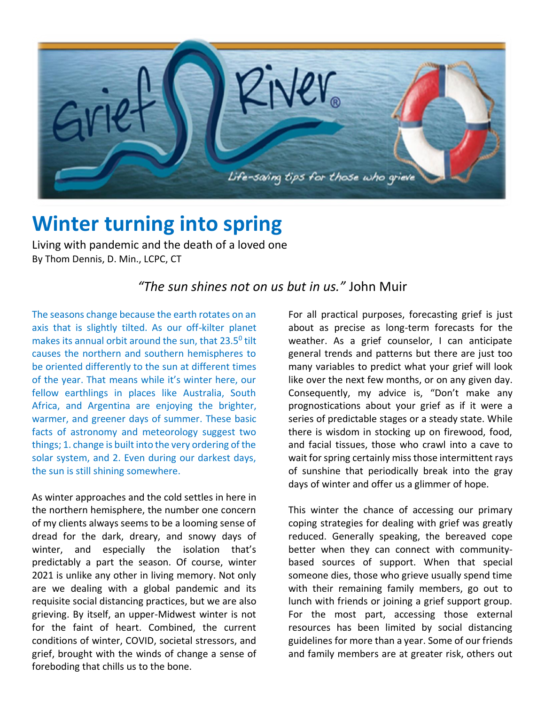

## **Winter turning into spring**

Living with pandemic and the death of a loved one By Thom Dennis, D. Min., LCPC, CT

## *"The sun shines not on us but in us."* John Muir

The seasons change because the earth rotates on an axis that is slightly tilted. As our off-kilter planet makes its annual orbit around the sun, that  $23.5^{\circ}$  tilt causes the northern and southern hemispheres to be oriented differently to the sun at different times of the year. That means while it's winter here, our fellow earthlings in places like Australia, South Africa, and Argentina are enjoying the brighter, warmer, and greener days of summer. These basic facts of astronomy and meteorology suggest two things; 1. change is built into the very ordering of the solar system, and 2. Even during our darkest days, the sun is still shining somewhere.

As winter approaches and the cold settles in here in the northern hemisphere, the number one concern of my clients always seems to be a looming sense of dread for the dark, dreary, and snowy days of winter, and especially the isolation that's predictably a part the season. Of course, winter 2021 is unlike any other in living memory. Not only are we dealing with a global pandemic and its requisite social distancing practices, but we are also grieving. By itself, an upper-Midwest winter is not for the faint of heart. Combined, the current conditions of winter, COVID, societal stressors, and grief, brought with the winds of change a sense of foreboding that chills us to the bone.

For all practical purposes, forecasting grief is just about as precise as long-term forecasts for the weather. As a grief counselor, I can anticipate general trends and patterns but there are just too many variables to predict what your grief will look like over the next few months, or on any given day. Consequently, my advice is, "Don't make any prognostications about your grief as if it were a series of predictable stages or a steady state. While there is wisdom in stocking up on firewood, food, and facial tissues, those who crawl into a cave to wait for spring certainly miss those intermittent rays of sunshine that periodically break into the gray days of winter and offer us a glimmer of hope.

This winter the chance of accessing our primary coping strategies for dealing with grief was greatly reduced. Generally speaking, the bereaved cope better when they can connect with communitybased sources of support. When that special someone dies, those who grieve usually spend time with their remaining family members, go out to lunch with friends or joining a grief support group. For the most part, accessing those external resources has been limited by social distancing guidelines for more than a year. Some of our friends and family members are at greater risk, others out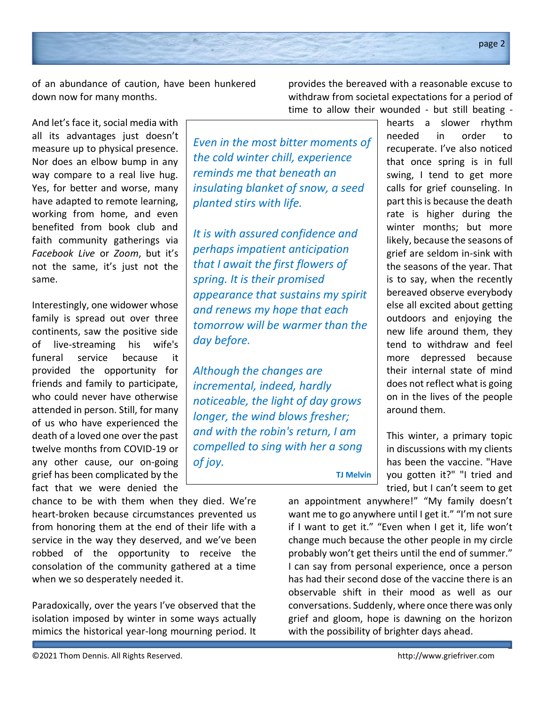of an abundance of caution, have been hunkered down now for many months.

And let's face it, social media with all its advantages just doesn't measure up to physical presence. Nor does an elbow bump in any way compare to a real live hug. Yes, for better and worse, many have adapted to remote learning, working from home, and even benefited from book club and faith community gatherings via *Facebook Live* or *Zoom*, but it's not the same, it's just not the same.

Interestingly, one widower whose family is spread out over three continents, saw the positive side of live-streaming his wife's funeral service because it provided the opportunity for friends and family to participate, who could never have otherwise attended in person. Still, for many of us who have experienced the death of a loved one over the past twelve months from COVID-19 or any other cause, our on-going grief has been complicated by the fact that we were denied the

chance to be with them when they died. We're heart-broken because circumstances prevented us from honoring them at the end of their life with a service in the way they deserved, and we've been robbed of the opportunity to receive the consolation of the community gathered at a time when we so desperately needed it.

Paradoxically, over the years I've observed that the isolation imposed by winter in some ways actually mimics the historical year-long mourning period. It

provides the bereaved with a reasonable excuse to withdraw from societal expectations for a period of time to allow their wounded - but still beating -

*Even in the most bitter moments of the cold winter chill, experience reminds me that beneath an insulating blanket of snow, a seed planted stirs with life.*

*It is with assured confidence and perhaps impatient anticipation that I await the first flowers of spring. It is their promised appearance that sustains my spirit and renews my hope that each tomorrow will be warmer than the day before.* 

*Although the changes are incremental, indeed, hardly noticeable, the light of day grows longer, the wind blows fresher; and with the robin's return, I am compelled to sing with her a song of joy.*

**TJ Melvin**

hearts a slower rhythm needed in order to recuperate. I've also noticed that once spring is in full swing, I tend to get more calls for grief counseling. In part this is because the death rate is higher during the winter months; but more likely, because the seasons of grief are seldom in-sink with the seasons of the year. That is to say, when the recently bereaved observe everybody else all excited about getting outdoors and enjoying the new life around them, they tend to withdraw and feel more depressed because their internal state of mind does not reflect what is going on in the lives of the people around them.

This winter, a primary topic in discussions with my clients has been the vaccine. "Have you gotten it?" "I tried and tried, but I can't seem to get

an appointment anywhere!" "My family doesn't want me to go anywhere until I get it." "I'm not sure if I want to get it." "Even when I get it, life won't change much because the other people in my circle probably won't get theirs until the end of summer." I can say from personal experience, once a person has had their second dose of the vaccine there is an observable shift in their mood as well as our conversations. Suddenly, where once there was only grief and gloom, hope is dawning on the horizon with the possibility of brighter days ahead.

2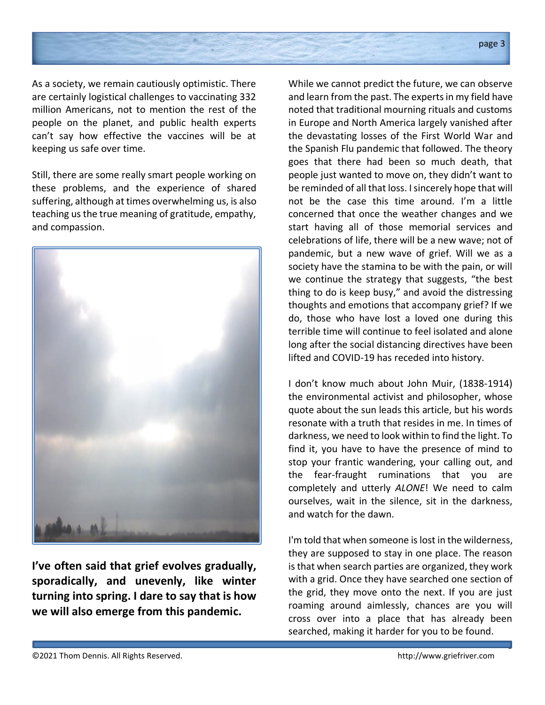

As a society, we remain cautiously optimistic. There are certainly logistical challenges to vaccinating 332 million Americans, not to mention the rest of the people on the planet, and public health experts can't say how effective the vaccines will be at keeping us safe over time.

Still, there are some really smart people working on these problems, and the experience of shared suffering, although at times overwhelming us, is also teaching us the true meaning of gratitude, empathy, and compassion.



**I've often said that grief evolves gradually, sporadically, and unevenly, like winter turning into spring. I dare to say that is how we will also emerge from this pandemic.**

While we cannot predict the future, we can observe and learn from the past. The experts in my field have noted that traditional mourning rituals and customs in Europe and North America largely vanished after the devastating losses of the First World War and the Spanish Flu pandemic that followed. The theory goes that there had been so much death, that people just wanted to move on, they didn't want to be reminded of all that loss. I sincerely hope that will not be the case this time around. I'm a little concerned that once the weather changes and we start having all of those memorial services and celebrations of life, there will be a new wave; not of pandemic, but a new wave of grief. Will we as a society have the stamina to be with the pain, or will we continue the strategy that suggests, "the best thing to do is keep busy," and avoid the distressing thoughts and emotions that accompany grief? If we do, those who have lost a loved one during this terrible time will continue to feel isolated and alone long after the social distancing directives have been lifted and COVID-19 has receded into history.

I don't know much about John Muir, (1838-1914) the environmental activist and philosopher, whose quote about the sun leads this article, but his words resonate with a truth that resides in me. In times of darkness, we need to look within to find the light. To find it, you have to have the presence of mind to stop your frantic wandering, your calling out, and the fear-fraught ruminations that you are completely and utterly *ALONE*! We need to calm ourselves, wait in the silence, sit in the darkness, and watch for the dawn.

I'm told that when someone is lost in the wilderness, they are supposed to stay in one place. The reason is that when search parties are organized, they work with a grid. Once they have searched one section of the grid, they move onto the next. If you are just roaming around aimlessly, chances are you will cross over into a place that has already been searched, making it harder for you to be found.

3

<sup>©2021</sup> Thom Dennis. All Rights Reserved. http://www.griefriver.com